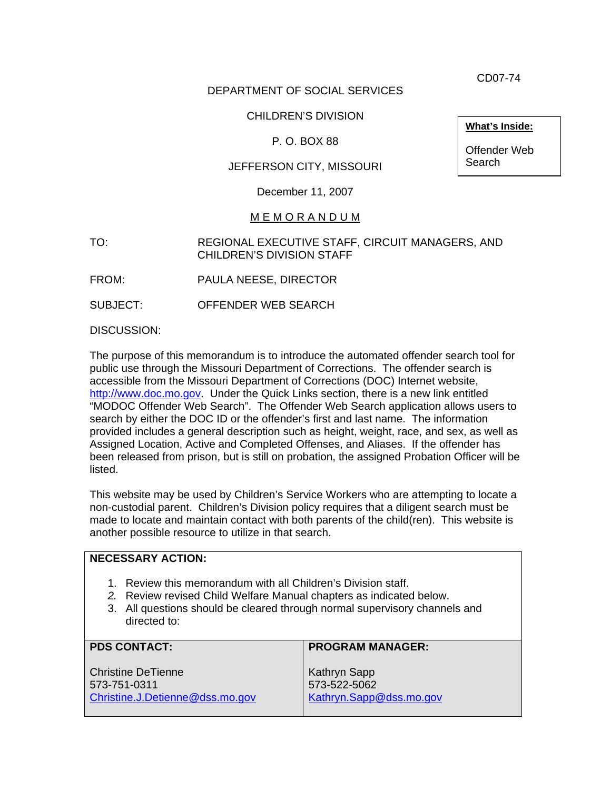CD07-74

# DEPARTMENT OF SOCIAL SERVICES

# CHILDREN'S DIVISION

# P. O. BOX 88

# JEFFERSON CITY, MISSOURI

December 11, 2007

#### M E M O R A N D U M

TO: REGIONAL EXECUTIVE STAFF, CIRCUIT MANAGERS, AND CHILDREN'S DIVISION STAFF

FROM: PAULA NEESE, DIRECTOR

SUBJECT: OFFENDER WEB SEARCH

DISCUSSION:

The purpose of this memorandum is to introduce the automated offender search tool for public use through the Missouri Department of Corrections. The offender search is accessible from the Missouri Department of Corrections (DOC) Internet website, [http://www.doc.mo.gov](http://www.doc.mo.gov/). Under the Quick Links section, there is a new link entitled "MODOC Offender Web Search". The Offender Web Search application allows users to search by either the DOC ID or the offender's first and last name. The information provided includes a general description such as height, weight, race, and sex, as well as Assigned Location, Active and Completed Offenses, and Aliases. If the offender has been released from prison, but is still on probation, the assigned Probation Officer will be listed.

This website may be used by Children's Service Workers who are attempting to locate a non-custodial parent. Children's Division policy requires that a diligent search must be made to locate and maintain contact with both parents of the child(ren). This website is another possible resource to utilize in that search.

#### **NECESSARY ACTION:**  1. Review this memorandum with all Children's Division staff. *2.* Review revised Child Welfare Manual chapters as indicated below. 3. All questions should be cleared through normal supervisory channels and directed to: **PDS CONTACT:**  Christine DeTienne 573-751-0311 [Christine.J.Detienne@dss.mo.gov](mailto:Christine.J.Detienne@dss.mo.gov) **PROGRAM MANAGER:**  Kathryn Sapp 573-522-5062 [Kathryn.Sapp@dss.mo.gov](mailto:Kathryn.Sapp@dss.mo.gov)

**What's Inside:**

Offender Web Search